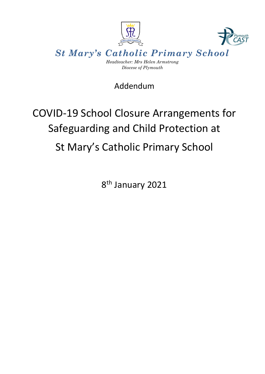

# Addendum

# COVID-19 School Closure Arrangements for Safeguarding and Child Protection at St Mary's Catholic Primary School

8<sup>th</sup> January 2021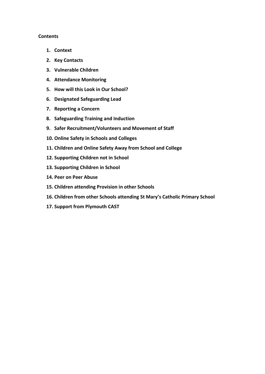#### **Contents**

- **1. Context**
- **2. Key Contacts**
- **3. Vulnerable Children**
- **4. Attendance Monitoring**
- **5. How will this Look in Our School?**
- **6. Designated Safeguarding Lead**
- **7. Reporting a Concern**
- **8. Safeguarding Training and Induction**
- **9. Safer Recruitment/Volunteers and Movement of Staff**
- **10. Online Safety in Schools and Colleges**
- **11. Children and Online Safety Away from School and College**
- **12. Supporting Children not in School**
- **13. Supporting Children in School**
- **14. Peer on Peer Abuse**
- **15. Children attending Provision in other Schools**
- **16. Children from other Schools attending St Mary's Catholic Primary School**
- **17. Support from Plymouth CAST**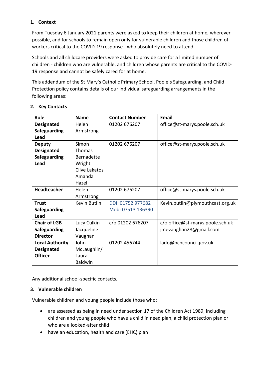#### **1. Context**

From Tuesday 6 January 2021 parents were asked to keep their children at home, wherever possible, and for schools to remain open only for vulnerable children and those children of workers critical to the COVID-19 response - who absolutely need to attend.

Schools and all childcare providers were asked to provide care for a limited number of children - children who are vulnerable, and children whose parents are critical to the COVID-19 response and cannot be safely cared for at home.

This addendum of the St Mary's Catholic Primary School, Poole's Safeguarding, and Child Protection policy contains details of our individual safeguarding arrangements in the following areas:

| Role                   | <b>Name</b>       | <b>Contact Number</b> | Email                            |
|------------------------|-------------------|-----------------------|----------------------------------|
| <b>Designated</b>      | Helen             | 01202 676207          | office@st-marys.poole.sch.uk     |
| Safeguarding           | Armstrong         |                       |                                  |
| Lead                   |                   |                       |                                  |
| <b>Deputy</b>          | Simon             | 01202 676207          | office@st-marys.poole.sch.uk     |
| <b>Designated</b>      | <b>Thomas</b>     |                       |                                  |
| Safeguarding           | <b>Bernadette</b> |                       |                                  |
| Lead                   | Wright            |                       |                                  |
|                        | Clive Lakatos     |                       |                                  |
|                        | Amanda            |                       |                                  |
|                        | Hazell            |                       |                                  |
| <b>Headteacher</b>     | Helen             | 01202 676207          | office@st-marys.poole.sch.uk     |
|                        | Armstrong         |                       |                                  |
| <b>Trust</b>           | Kevin Butlin      | DDI: 01752 977682     | Kevin.butlin@plymouthcast.org.uk |
| Safeguarding           |                   | Mob: 07513 136390     |                                  |
| Lead                   |                   |                       |                                  |
| <b>Chair of LGB</b>    | Lucy Culkin       | c/o 01202 676207      | c/o office@st-marys.poole.sch.uk |
| <b>Safeguarding</b>    | Jacqueline        |                       | jmevaughan28@gmail.com           |
| <b>Director</b>        | Vaughan           |                       |                                  |
| <b>Local Authority</b> | John              | 01202 456744          | lado@bcpcouncil.gov.uk           |
| <b>Designated</b>      | McLaughlin/       |                       |                                  |
| <b>Officer</b>         | Laura             |                       |                                  |
|                        | <b>Baldwin</b>    |                       |                                  |

#### **2. Key Contacts**

Any additional school-specific contacts.

#### **3. Vulnerable children**

Vulnerable children and young people include those who:

- are assessed as being in need under section 17 of the Children Act 1989, including children and young people who have a child in need plan, a child protection plan or who are a looked-after child
- have an education, health and care (EHC) plan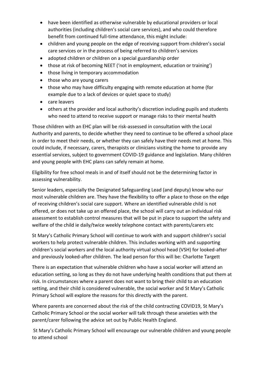- have been identified as otherwise vulnerable by educational providers or local authorities (including children's social care services), and who could therefore benefit from continued full-time attendance, this might include:
- children and young people on the edge of receiving support from children's social care services or in the process of being referred to children's services
- adopted children or children on a special guardianship order
- those at risk of becoming NEET ('not in employment, education or training')
- those living in temporary accommodation
- those who are young carers
- those who may have difficulty engaging with remote education at home (for example due to a lack of devices or quiet space to study)
- care leavers
- others at the provider and local authority's discretion including pupils and students who need to attend to receive support or manage risks to their mental health

Those children with an EHC plan will be risk-assessed in consultation with the Local Authority and parents, to decide whether they need to continue to be offered a school place in order to meet their needs, or whether they can safely have their needs met at home. This could include, if necessary, carers, therapists or clinicians visiting the home to provide any essential services, subject to government COVID-19 guidance and legislation. Many children and young people with EHC plans can safely remain at home.

Eligibility for free school meals in and of itself should not be the determining factor in assessing vulnerability.

Senior leaders, especially the Designated Safeguarding Lead (and deputy) know who our most vulnerable children are. They have the flexibility to offer a place to those on the edge of receiving children's social care support. Where an identified vulnerable child is not offered, or does not take up an offered place, the school will carry out an individual risk assessment to establish control measures that will be put in place to support the safety and welfare of the child ie daily/twice weekly telephone contact with parents/carers etc

St Mary's Catholic Primary School will continue to work with and support children's social workers to help protect vulnerable children. This includes working with and supporting children's social workers and the local authority virtual school head (VSH) for looked-after and previously looked-after children. The lead person for this will be: Charlotte Targett

There is an expectation that vulnerable children who have a social worker will attend an education setting, so long as they do not have underlying health conditions that put them at risk. In circumstances where a parent does not want to bring their child to an education setting, and their child is considered vulnerable, the social worker and St Mary's Catholic Primary School will explore the reasons for this directly with the parent.

Where parents are concerned about the risk of the child contracting COVID19, St Mary's Catholic Primary School or the social worker will talk through these anxieties with the parent/carer following the advice set out by Public Health England.

St Mary's Catholic Primary School will encourage our vulnerable children and young people to attend school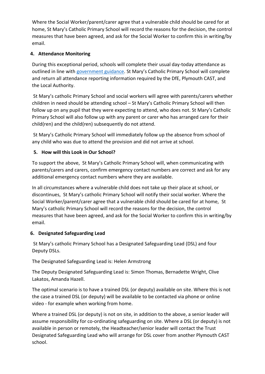Where the Social Worker/parent/carer agree that a vulnerable child should be cared for at home, St Mary's Catholic Primary School will record the reasons for the decision, the control measures that have been agreed, and ask for the Social Worker to confirm this in writing/by email.

### **4. Attendance Monitoring**

During this exceptional period, schools will complete their usual day-today attendance as outlined in line with [government guidance.](https://www.gov.uk/government/publications/school-attendance) St Mary's Catholic Primary School will complete and return all attendance reporting information required by the DfE, Plymouth CAST, and the Local Authority.

St Mary's catholic Primary School and social workers will agree with parents/carers whether children in need should be attending school – St Mary's Catholic Primary School will then follow up on any pupil that they were expecting to attend, who does not. St Mary's Catholic Primary School will also follow up with any parent or carer who has arranged care for their child(ren) and the child(ren) subsequently do not attend.

St Mary's Catholic Primary School will immediately follow up the absence from school of any child who was due to attend the provision and did not arrive at school.

### **5. How will this Look in Our School?**

To support the above, St Mary's Catholic Primary School will, when communicating with parents/carers and carers, confirm emergency contact numbers are correct and ask for any additional emergency contact numbers where they are available.

In all circumstances where a vulnerable child does not take up their place at school, or discontinues, St Mary's catholic Primary School will notify their social worker. Where the Social Worker/parent/carer agree that a vulnerable child should be cared for at home, St Mary's catholic Primary School will record the reasons for the decision, the control measures that have been agreed, and ask for the Social Worker to confirm this in writing/by email.

#### **6. Designated Safeguarding Lead**

St Mary's catholic Primary School has a Designated Safeguarding Lead (DSL) and four Deputy DSLs.

The Designated Safeguarding Lead is: Helen Armstrong

The Deputy Designated Safeguarding Lead is: Simon Thomas, Bernadette Wright, Clive Lakatos, Amanda Hazell.

The optimal scenario is to have a trained DSL (or deputy) available on site. Where this is not the case a trained DSL (or deputy) will be available to be contacted via phone or online video - for example when working from home.

Where a trained DSL (or deputy) is not on site, in addition to the above, a senior leader will assume responsibility for co-ordinating safeguarding on site. Where a DSL (or deputy) is not available in person or remotely, the Headteacher/senior leader will contact the Trust Designated Safeguarding Lead who will arrange for DSL cover from another Plymouth CAST school.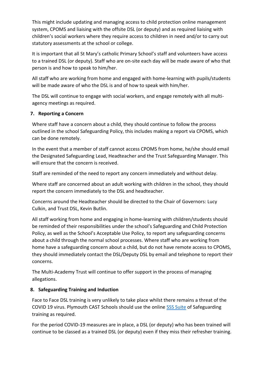This might include updating and managing access to child protection online management system, CPOMS and liaising with the offsite DSL (or deputy) and as required liaising with children's social workers where they require access to children in need and/or to carry out statutory assessments at the school or college.

It is important that all St Mary's catholic Primary School's staff and volunteers have access to a trained DSL (or deputy). Staff who are on-site each day will be made aware of who that person is and how to speak to him/her.

All staff who are working from home and engaged with home-learning with pupils/students will be made aware of who the DSL is and of how to speak with him/her.

The DSL will continue to engage with social workers, and engage remotely with all multiagency meetings as required.

#### **7. Reporting a Concern**

Where staff have a concern about a child, they should continue to follow the process outlined in the school Safeguarding Policy, this includes making a report via CPOMS, which can be done remotely.

In the event that a member of staff cannot access CPOMS from home, he/she should email the Designated Safeguarding Lead, Headteacher and the Trust Safeguarding Manager. This will ensure that the concern is received.

Staff are reminded of the need to report any concern immediately and without delay.

Where staff are concerned about an adult working with children in the school, they should report the concern immediately to the DSL and headteacher.

Concerns around the Headteacher should be directed to the Chair of Governors: Lucy Culkin, and Trust DSL, Kevin Butlin.

All staff working from home and engaging in home-learning with children/students should be reminded of their responsibilities under the school's Safeguarding and Child Protection Policy, as well as the School's Acceptable Use Policy, to report any safeguarding concerns about a child through the normal school processes. Where staff who are working from home have a safeguarding concern about a child, but do not have remote access to CPOMS, they should immediately contact the DSL/Deputy DSL by email and telephone to report their concerns.

The Multi-Academy Trust will continue to offer support in the process of managing allegations.

#### **8. Safeguarding Training and Induction**

Face to Face DSL training is very unlikely to take place whilst there remains a threat of the COVID 19 virus. Plymouth CAST Schools should use the online [SSS Suite](https://training.ssscpd.co.uk/) of Safeguarding training as required.

For the period COVID-19 measures are in place, a DSL (or deputy) who has been trained will continue to be classed as a trained DSL (or deputy) even if they miss their refresher training.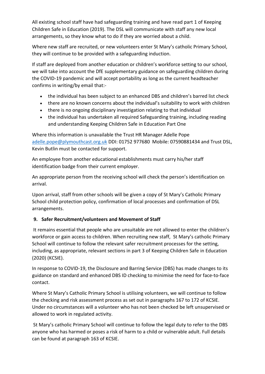All existing school staff have had safeguarding training and have read part 1 of Keeping Children Safe in Education (2019). The DSL will communicate with staff any new local arrangements, so they know what to do if they are worried about a child.

Where new staff are recruited, or new volunteers enter St Mary's catholic Primary School, they will continue to be provided with a safeguarding induction.

If staff are deployed from another education or children's workforce setting to our school, we will take into account the DfE supplementary guidance on safeguarding children during the COVID-19 pandemic and will accept portability as long as the current headteacher confirms in writing/by email that:-

- the individual has been subject to an enhanced DBS and children's barred list check
- there are no known concerns about the individual's suitability to work with children
- there is no ongoing disciplinary investigation relating to that individual
- the individual has undertaken all required Safeguarding training, including reading and understanding Keeping Children Safe in Education Part One

Where this information is unavailable the Trust HR Manager Adelle Pope [adelle.pope@plymouthcast.org.uk](mailto:adelle.pope@plymouthcast.org.uk) DDI: 01752 977680 Mobile: 07590881434 and Trust DSL, Kevin Butlin must be contacted for support.

An employee from another educational establishments must carry his/her staff identification badge from their current employer.

An appropriate person from the receiving school will check the person's identification on arrival.

Upon arrival, staff from other schools will be given a copy of St Mary's Catholic Primary School child protection policy, confirmation of local processes and confirmation of DSL arrangements.

#### **9. Safer Recruitment/volunteers and Movement of Staff**

It remains essential that people who are unsuitable are not allowed to enter the children's workforce or gain access to children. When recruiting new staff, St Mary's catholic Primary School will continue to follow the relevant safer recruitment processes for the setting, including, as appropriate, relevant sections in part 3 of Keeping Children Safe in Education (2020) (KCSIE).

In response to COVID-19, the Disclosure and Barring Service (DBS) has made changes to its guidance on standard and enhanced DBS ID checking to minimise the need for face-to-face contact.

Where St Mary's Catholic Primary School is utilising volunteers, we will continue to follow the checking and risk assessment process as set out in paragraphs 167 to 172 of KCSIE. Under no circumstances will a volunteer who has not been checked be left unsupervised or allowed to work in regulated activity.

St Mary's catholic Primary School will continue to follow the legal duty to refer to the DBS anyone who has harmed or poses a risk of harm to a child or vulnerable adult. Full details can be found at paragraph 163 of KCSIE.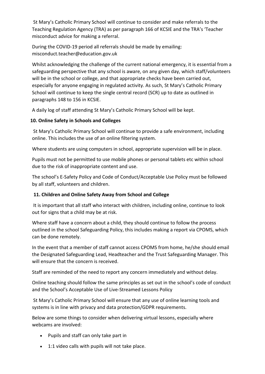St Mary's Catholic Primary School will continue to consider and make referrals to the Teaching Regulation Agency (TRA) as per paragraph 166 of KCSIE and the TRA's 'Teacher misconduct advice for making a referral.

During the COVID-19 period all referrals should be made by emailing: misconduct.teacher@education.gov.uk

Whilst acknowledging the challenge of the current national emergency, it is essential from a safeguarding perspective that any school is aware, on any given day, which staff/volunteers will be in the school or college, and that appropriate checks have been carried out, especially for anyone engaging in regulated activity. As such, St Mary's Catholic Primary School will continue to keep the single central record (SCR) up to date as outlined in paragraphs 148 to 156 in KCSIE.

A daily log of staff attending St Mary's Catholic Primary School will be kept.

### **10. Online Safety in Schools and Colleges**

St Mary's Catholic Primary School will continue to provide a safe environment, including online. This includes the use of an online filtering system.

Where students are using computers in school, appropriate supervision will be in place.

Pupils must not be permitted to use mobile phones or personal tablets etc within school due to the risk of inappropriate content and use.

The school's E-Safety Policy and Code of Conduct/Acceptable Use Policy must be followed by all staff, volunteers and children.

# **11. Children and Online Safety Away from School and College**

It is important that all staff who interact with children, including online, continue to look out for signs that a child may be at risk.

Where staff have a concern about a child, they should continue to follow the process outlined in the school Safeguarding Policy, this includes making a report via CPOMS, which can be done remotely.

In the event that a member of staff cannot access CPOMS from home, he/she should email the Designated Safeguarding Lead, Headteacher and the Trust Safeguarding Manager. This will ensure that the concern is received.

Staff are reminded of the need to report any concern immediately and without delay.

Online teaching should follow the same principles as set out in the school's code of conduct and the School's Acceptable Use of Live-Streamed Lessons Policy

St Mary's Catholic Primary School will ensure that any use of online learning tools and systems is in line with privacy and data protection/GDPR requirements.

Below are some things to consider when delivering virtual lessons, especially where webcams are involved:

- Pupils and staff can only take part in
- 1:1 video calls with pupils will not take place.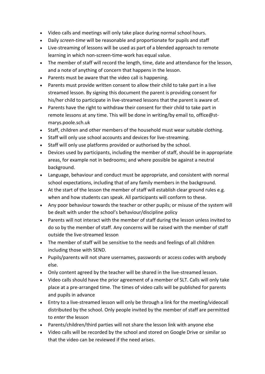- Video calls and meetings will only take place during normal school hours.
- Daily *screen-time* will be reasonable and proportionate for pupils and staff
- Live-streaming of lessons will be used as part of a blended approach to remote learning in which non-screen-time-work has equal value.
- The member of staff will record the length, time, date and attendance for the lesson, and a note of anything of concern that happens in the lesson.
- Parents must be aware that the video call is happening.
- Parents must provide written consent to allow their child to take part in a live streamed lesson. By signing this document the parent is providing consent for his/her child to participate in live-streamed lessons that the parent is aware of.
- Parents have the right to withdraw their consent for their child to take part in remote lessons at any time. This will be done in writing/by email to, office@stmarys.poole.sch.uk
- Staff, children and other members of the household must wear suitable clothing.
- Staff will only use school accounts and devices for live-streaming.
- Staff will only use platforms provided or authorised by the school.
- Devices used by participants, including the member of staff, should be in appropriate areas, for example not in bedrooms; and where possible be against a neutral background.
- Language, behaviour and conduct must be appropriate, and consistent with normal school expectations, including that of any family members in the background.
- At the start of the lesson the member of staff will establish clear ground rules e.g. when and how students can speak. All participants will conform to these.
- Any poor behaviour towards the teacher or other pupils; or misuse of the system will be dealt with under the school's behaviour/discipline policy
- Parents will not interact with the member of staff during the lesson unless invited to do so by the member of staff. Any concerns will be raised with the member of staff outside the live-streamed lesson
- The member of staff will be sensitive to the needs and feelings of all children including those with SEND.
- Pupils/parents will not share usernames, passwords or access codes with anybody else.
- Only content agreed by the teacher will be shared in the live-streamed lesson.
- Video calls should have the prior agreement of a member of SLT. Calls will only take place at a pre-arranged time. The times of video calls will be published for parents and pupils in advance
- Entry to a live-streamed lesson will only be through a link for the meeting/videocall distributed by the school. Only people invited by the member of staff are permitted to *enter* the lesson
- Parents/children/third parties will not share the lesson link with anyone else
- Video calls will be recorded by the school and stored on Google Drive or similar so that the video can be reviewed if the need arises.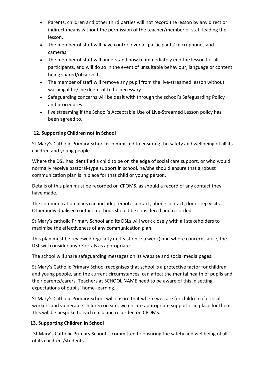- Parents, children and other third parties will not record the lesson by any direct or indirect means without the permission of the teacher/member of staff leading the lesson.
- The member of staff will have control over all participants' microphones and cameras
- The member of staff will understand how to immediately end the lesson for all participants, and will do so in the event of unsuitable behaviour, language or content being shared/observed.
- The member of staff will remove any pupil from the live-streamed lesson without warning if he/she deems it to be necessary
- Safeguarding concerns will be dealt with through the school's Safeguarding Policy and procedures
- live streaming if the School's Acceptable Use of Live-Streamed Lesson policy has been agreed to.

#### **12. Supporting Children not in School**

St Mary's Catholic Primary School is committed to ensuring the safety and wellbeing of all its children and young people.

Where the DSL has identified a child to be on the edge of social care support, or who would normally receive pastoral-type support in school, he/she should ensure that a robust communication plan is in place for that child or young person.

Details of this plan must be recorded on CPOMS, as should a record of any contact they have made.

The communication plans can include; remote contact, phone contact, door-step visits. Other individualised contact methods should be considered and recorded.

St Mary's catholic Primary School and its DSLs will work closely with all stakeholders to maximise the effectiveness of any communication plan.

This plan must be reviewed regularly (at least once a week) and where concerns arise, the DSL will consider any referrals as appropriate.

The school will share safeguarding messages on its website and social media pages.

St Mary's Catholic Primary School recognises that school is a protective factor for children and young people, and the current circumstances, can affect the mental health of pupils and their parents/carers. Teachers at SCHOOL NAME need to be aware of this in setting expectations of pupils' home-learning.

St Mary's Catholic Primary School will ensure that where we care for children of critical workers and vulnerable children on site, we ensure appropriate support is in place for them. This will be bespoke to each child and recorded on CPOMS.

#### **13. Supporting Children in School**

St Mary's Catholic Primary School is committed to ensuring the safety and wellbeing of all of its children /students.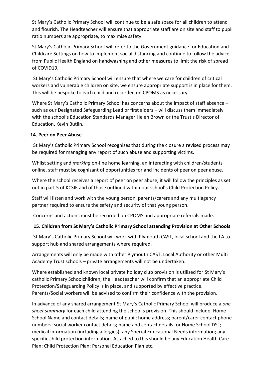St Mary's Catholic Primary School will continue to be a safe space for all children to attend and flourish. The Headteacher will ensure that appropriate staff are on site and staff to pupil ratio numbers are appropriate, to maximise safety.

St Mary's Catholic Primary School will refer to the Government guidance for Education and Childcare Settings on how to implement social distancing and continue to follow the advice from Public Health England on handwashing and other measures to limit the risk of spread of COVID19.

St Mary's Catholic Primary School will ensure that where we care for children of critical workers and vulnerable children on site, we ensure appropriate support is in place for them. This will be bespoke to each child and recorded on CPOMS as necessary.

Where St Mary's Catholic Primary School has concerns about the impact of staff absence – such as our Designated Safeguarding Lead or first aiders – will discuss them immediately with the school's Education Standards Manager Helen Brown or the Trust's Director of Education, Kevin Butlin.

#### **14. Peer on Peer Abuse**

St Mary's Catholic Primary School recognises that during the closure a revised process may be required for managing any report of such abuse and supporting victims.

Whilst setting and *marking* on-line home learning, an interacting with children/students online, staff must be cognizant of opportunities for and incidents of peer on peer abuse.

Where the school receives a report of peer on peer abuse, it will follow the principles as set out in part 5 of KCSIE and of those outlined within our school's Child Protection Policy.

Staff will listen and work with the young person, parents/carers and any multiagency partner required to ensure the safety and security of that young person.

Concerns and actions must be recorded on CPOMS and appropriate referrals made.

#### **15. Children from St Mary's Catholic Primary School attending Provision at Other Schools**

St Mary's Catholic Primary School will work with Plymouth CAST, local school and the LA to support hub and shared arrangements where required.

Arrangements will only be made with other Plymouth CAST, Local Authority or other Multi Academy Trust schools – private arrangements will not be undertaken.

Where established and known local private holiday club provision is utilised for St Mary's catholic Primary Schoolchildren, the Headteacher will confirm that an appropriate Child Protection/Safeguarding Policy is in place, and supported by effective practice. Parents/Social workers will be advised to confirm their confidence with the provision.

In advance of any shared arrangement St Mary's Catholic Primary School will produce a *one sheet summary* for each child attending the school's provision. This should include: Home School Name and contact details; name of pupil; home address; parent/carer contact phone numbers; social worker contact details; name and contact details for Home School DSL; medical information (including allergies); any Special Educational Needs information; any specific child protection information. Attached to this should be any Education Health Care Plan; Child Protection Plan; Personal Education Plan etc.